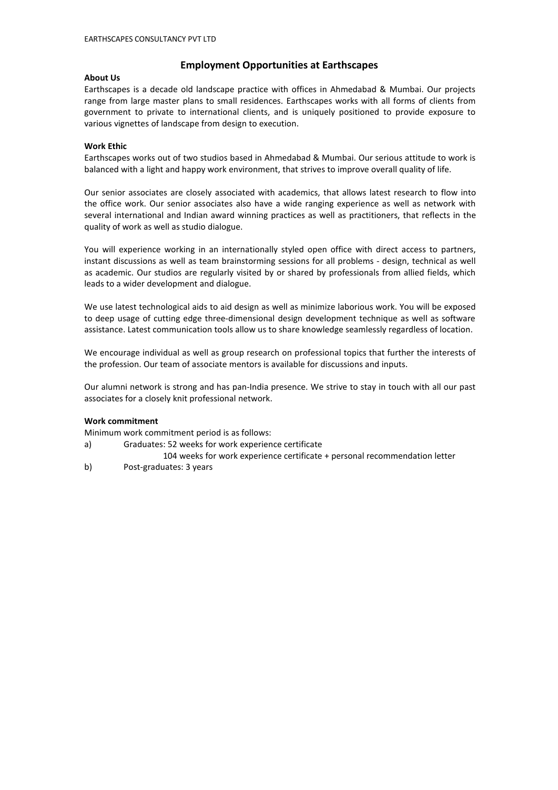# **Employment Opportunities at Earthscapes**

### **About Us**

Earthscapes is a decade old landscape practice with offices in Ahmedabad & Mumbai. Our projects range from large master plans to small residences. Earthscapes works with all forms of clients from government to private to international clients, and is uniquely positioned to provide exposure to various vignettes of landscape from design to execution.

### **Work Ethic**

Earthscapes works out of two studios based in Ahmedabad & Mumbai. Our serious attitude to work is balanced with a light and happy work environment, that strives to improve overall quality of life.

Our senior associates are closely associated with academics, that allows latest research to flow into the office work. Our senior associates also have a wide ranging experience as well as network with several international and Indian award winning practices as well as practitioners, that reflects in the quality of work as well as studio dialogue.

You will experience working in an internationally styled open office with direct access to partners, instant discussions as well as team brainstorming sessions for all problems - design, technical as well as academic. Our studios are regularly visited by or shared by professionals from allied fields, which leads to a wider development and dialogue.

We use latest technological aids to aid design as well as minimize laborious work. You will be exposed to deep usage of cutting edge three-dimensional design development technique as well as software assistance. Latest communication tools allow us to share knowledge seamlessly regardless of location.

We encourage individual as well as group research on professional topics that further the interests of the profession. Our team of associate mentors is available for discussions and inputs.

Our alumni network is strong and has pan-India presence. We strive to stay in touch with all our past associates for a closely knit professional network.

#### **Work commitment**

Minimum work commitment period is as follows:

- a) Graduates: 52 weeks for work experience certificate
- 104 weeks for work experience certificate + personal recommendation letter
- b) Post-graduates: 3 years